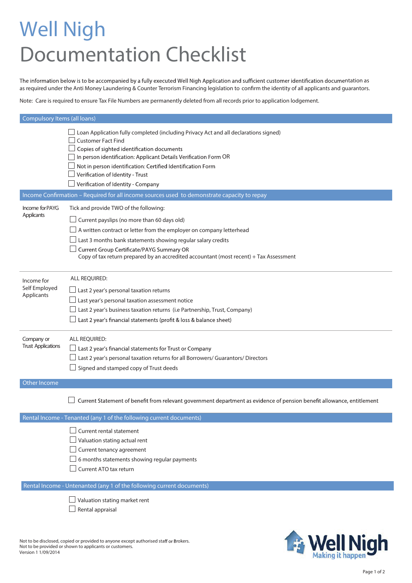## **Well Nigh Documentation Checklist**

The information below is to be accompanied by a fully executed Well Nigh Application and sufficient customer identification documentation as as required under the Anti Money Laundering & Counter Terrorism Financing legislation to confirm the identity of all applicants and guarantors.

Note: Care is required to ensure Tax File Numbers are permanently deleted from all records prior to application lodgement.

| <b>Compulsory Items (all loans)</b> |                                                                                                                                                                                                                                                                                                                                                                              |  |
|-------------------------------------|------------------------------------------------------------------------------------------------------------------------------------------------------------------------------------------------------------------------------------------------------------------------------------------------------------------------------------------------------------------------------|--|
|                                     | Loan Application fully completed (including Privacy Act and all declarations signed)<br><b>Customer Fact Find</b><br>Copies of sighted identification documents<br>In person identification: Applicant Details Verification Form OR<br>Not in person identification: Certified Identification Form<br>Verification of Identity - Trust<br>Verification of Identity - Company |  |
|                                     | Income Confirmation - Required for all income sources used to demonstrate capacity to repay                                                                                                                                                                                                                                                                                  |  |
| Income for PAYG<br>Applicants       | Tick and provide TWO of the following:<br>Current payslips (no more than 60 days old)<br>A written contract or letter from the employer on company letterhead<br>Last 3 months bank statements showing regular salary credits<br>Current Group Certificate/PAYG Summary OR<br>Copy of tax return prepared by an accredited accountant (most recent) + Tax Assessment         |  |
| Income for                          | ALL REQUIRED:                                                                                                                                                                                                                                                                                                                                                                |  |
| Self Employed<br>Applicants         | Last 2 year's personal taxation returns<br>Last year's personal taxation assessment notice<br>Last 2 year's business taxation returns (i.e Partnership, Trust, Company)<br>Last 2 year's financial statements (profit & loss & balance sheet)                                                                                                                                |  |
| Company or                          | <b>ALL REQUIRED:</b>                                                                                                                                                                                                                                                                                                                                                         |  |
| <b>Trust Applications</b>           | Last 2 year's financial statements for Trust or Company<br>Last 2 year's personal taxation returns for all Borrowers/ Guarantors/ Directors<br>Signed and stamped copy of Trust deeds                                                                                                                                                                                        |  |
| Other Income                        |                                                                                                                                                                                                                                                                                                                                                                              |  |
|                                     | Current Statement of benefit from relevant government department as evidence of pension benefit allowance, entitlement                                                                                                                                                                                                                                                       |  |
|                                     | Rental Income - Tenanted (any 1 of the following current documents)                                                                                                                                                                                                                                                                                                          |  |
|                                     | Current rental statement<br>Valuation stating actual rent<br>Current tenancy agreement<br>6 months statements showing regular payments<br>Current ATO tax return                                                                                                                                                                                                             |  |
|                                     | Rental Income - Untenanted (any 1 of the following current documents)<br>Valuation stating market rent<br>Rental appraisal                                                                                                                                                                                                                                                   |  |